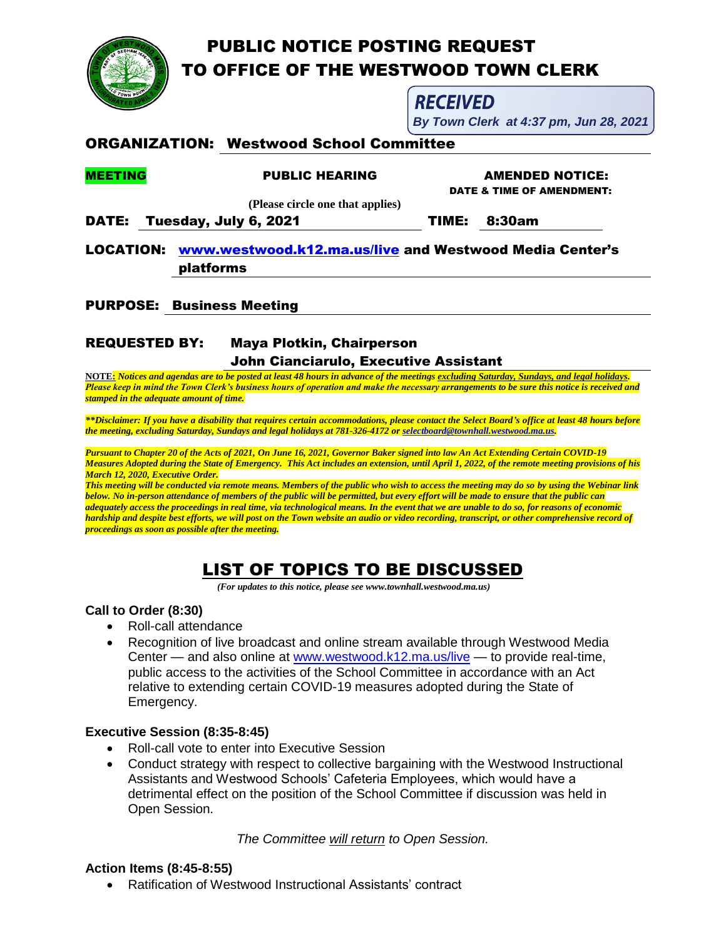

*Please keep in mind the Town Clerk's business hours of operation and make the necessary arrangements to be sure this notice is received and stamped in the adequate amount of time.*

*\*\*Disclaimer: If you have a disability that requires certain accommodations, please contact the Select Board's office at least 48 hours before the meeting, excluding Saturday, Sundays and legal holidays at 781-326-4172 o[r selectboard@townhall.westwood.ma.us.](mailto:selectboard@townhall.westwood.ma.us)*

*Pursuant to Chapter 20 of the Acts of 2021, On June 16, 2021, Governor Baker signed into law An Act Extending Certain COVID-19 Measures Adopted during the State of Emergency. This Act includes an extension, until April 1, 2022, of the remote meeting provisions of his March 12, 2020, Executive Order.*

*This meeting will be conducted via remote means. Members of the public who wish to access the meeting may do so by using the Webinar link below. No in-person attendance of members of the public will be permitted, but every effort will be made to ensure that the public can adequately access the proceedings in real time, via technological means. In the event that we are unable to do so, for reasons of economic hardship and despite best efforts, we will post on the Town website an audio or video recording, transcript, or other comprehensive record of proceedings as soon as possible after the meeting.*

# LIST OF TOPICS TO BE DISCUSSED

 *(For updates to this notice, please see www.townhall.westwood.ma.us)*

## **Call to Order (8:30)**

- Roll-call attendance
- Recognition of live broadcast and online stream available through Westwood Media Center — and also online at [www.westwood.k12.ma.us/live](http://www.westwood.k12.ma.us/live) — to provide real-time, public access to the activities of the School Committee in accordance with an Act relative to extending certain COVID-19 measures adopted during the State of Emergency.

## **Executive Session (8:35-8:45)**

- Roll-call vote to enter into Executive Session
- Conduct strategy with respect to collective bargaining with the Westwood Instructional Assistants and Westwood Schools' Cafeteria Employees, which would have a detrimental effect on the position of the School Committee if discussion was held in Open Session.

*The Committee will return to Open Session.*

### **Action Items (8:45-8:55)**

Ratification of Westwood Instructional Assistants' contract